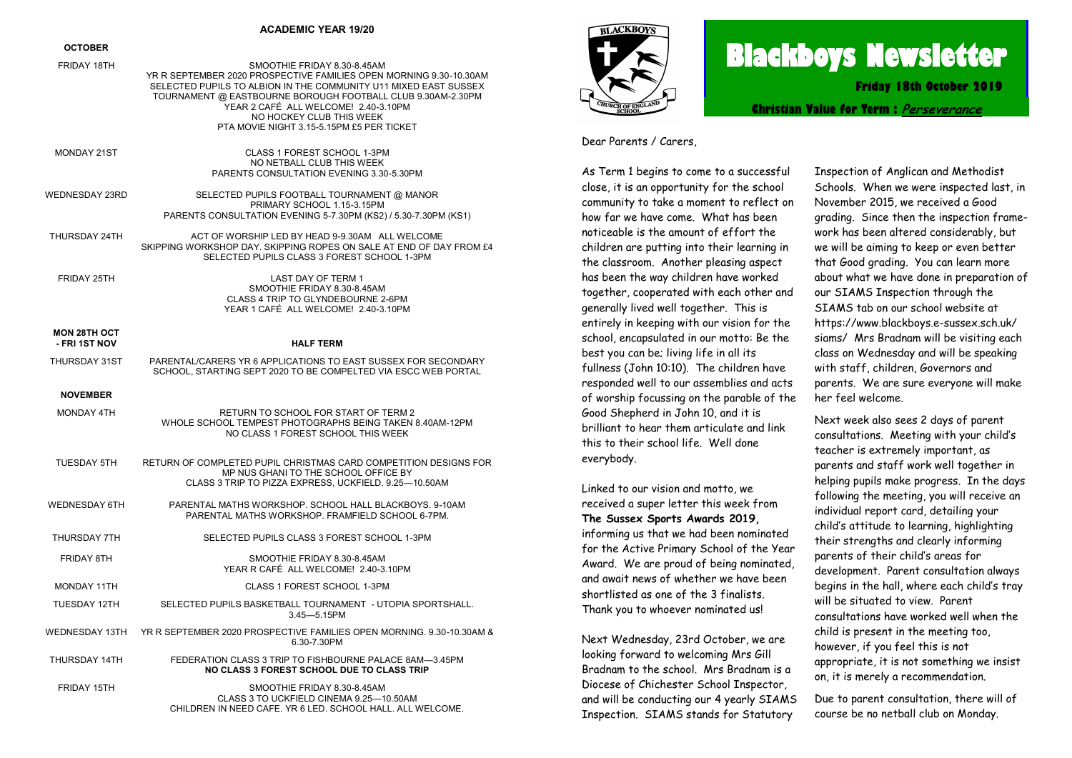#### **ACADEMIC YEAR 19/20**

#### **OCTOBER**

- FRIDAY 18TH SMOOTHIE FRIDAY 8.30-8.45AM YR R SEPTEMBER 2020 PROSPECTIVE FAMILIES OPEN MORNING 9.30-10.30AM SELECTED PUPILS TO ALBION IN THE COMMUNITY U11 MIXED EAST SUSSEX TOURNAMENT @ EASTBOURNE BOROUGH FOOTBALL CLUB 9.30AM-2.30PM YEAR 2 CAFÉ ALL WELCOMEL 2 40-3 10PM NO HOCKEY CLUB THIS WEEK PTA MOVIE NIGHT 3.15-5.15PM £5 PER TICKET
- MONDAY 21ST CLASS 1 FOREST SCHOOL 1-3PM NO NETBALL CLUB THIS WEEK PARENTS CONSULTATION EVENING 3.30-5.30PM WEDNESDAY 23RD SELECTED PUPILS FOOTBALL TOURNAMENT @ MANOR PRIMARY SCHOOL 1.15-3.15PM PARENTS CONSULTATION EVENING 5-7.30PM (KS2) / 5.30-7.30PM (KS1) THURSDAY 24TH ACT OF WORSHIP LED BY HEAD 9-9.30AM ALL WELCOME SKIPPING WORKSHOP DAY. SKIPPING ROPES ON SALE AT END OF DAY FROM £4
- SELECTED PUPILS CLASS 3 FOREST SCHOOL 1-3PM
- FRIDAY 25TH LAST DAY OF TERM 1 SMOOTHIE FRIDAY 8.30-8.45AM CLASS 4 TRIP TO GLYNDEBOURNE 2-6PM YEAR 1 CAFÉ ALL WELCOME! 2.40-3.10PM

## **MON 28TH OCT**

## **- FRI 1ST NOV HALF TERM**

THURSDAY 31ST PARENTAL/CARERS YR 6 APPLICATIONS TO EAST SUSSEX FOR SECONDARY SCHOOL, STARTING SEPT 2020 TO BE COMPELTED VIA ESCC WEB PORTAL

#### **NOVEMBER**

- MONDAY 4TH RETURN TO SCHOOL FOR START OF TERM 2 WHOLE SCHOOL TEMPEST PHOTOGRAPHS BEING TAKEN 8.40AM-12PM NO CLASS 1 FOREST SCHOOL THIS WEEK
- TUESDAY 5TH RETURN OF COMPLETED PUPIL CHRISTMAS CARD COMPETITION DESIGNS FOR MP NUS GHANI TO THE SCHOOL OFFICE BY CLASS 3 TRIP TO PIZZA EXPRESS, UCKFIELD. 9.25—10.50AM
- WEDNESDAY 6TH PARENTAL MATHS WORKSHOP. SCHOOL HALL BLACKBOYS. 9-10AM PARENTAL MATHS WORKSHOP. FRAMFIELD SCHOOL 6-7PM. THURSDAY 7TH SELECTED PUPILS CLASS 3 FOREST SCHOOL 1-3PM
	- FRIDAY 8TH SMOOTHIE FRIDAY 8.30-8.45AM YEAR R CAFÉ ALL WELCOME! 2.40-3.10PM
- MONDAY 11TH CLASS 1 FOREST SCHOOL 1-3PM
- TUESDAY 12TH SELECTED PUPILS BASKETBALL TOURNAMENT UTOPIA SPORTSHALL. 3.45—5.15PM
- WEDNESDAY 13TH YR R SEPTEMBER 2020 PROSPECTIVE FAMILIES OPEN MORNING. 9.30-10.30AM & 6.30-7.30PM THURSDAY 14TH FEDERATION CLASS 3 TRIP TO FISHBOURNE PALACE 8AM—3.45PM
	- **NO CLASS 3 FOREST SCHOOL DUE TO CLASS TRIP**

FRIDAY 15TH SMOOTHIE FRIDAY 8.30-8.45AM CLASS 3 TO UCKFIELD CINEMA 9.25—10.50AM CHILDREN IN NEED CAFE. YR 6 LED. SCHOOL HALL. ALL WELCOME.



# **Blackboys Newsletter**

**Friday 18th October 2019**

**Christian Value for Term : [Perseverance](https://www.google.co.uk/search?safe=strict&q=Perseverance&spell=1&sa=X&ved=0ahUKEwjdufaq38vdAhUHIsAKHUx5DOMQkeECCCgoAA)**

Dear Parents / Carers,

As Term 1 begins to come to a successful close, it is an opportunity for the school community to take a moment to reflect on how far we have come. What has been noticeable is the amount of effort the children are putting into their learning in the classroom. Another pleasing aspect has been the way children have worked together, cooperated with each other and generally lived well together. This is entirely in keeping with our vision for the school, encapsulated in our motto: Be the best you can be; living life in all its fullness (John 10:10). The children have responded well to our assemblies and acts of worship focussing on the parable of the Good Shepherd in John 10, and it is brilliant to hear them articulate and link this to their school life. Well done everybody.

Linked to our vision and motto, we received a super letter this week from **The Sussex Sports Awards 2019,** informing us that we had been nominated for the Active Primary School of the Year Award. We are proud of being nominated, and await news of whether we have been shortlisted as one of the 3 finalists. Thank you to whoever nominated us!

Next Wednesday, 23rd October, we are looking forward to welcoming Mrs Gill Bradnam to the school. Mrs Bradnam is a Diocese of Chichester School Inspector, and will be conducting our 4 yearly SIAMS Inspection. SIAMS stands for Statutory

Inspection of Anglican and Methodist Schools. When we were inspected last, in November 2015, we received a Good grading. Since then the inspection framework has been altered considerably, but we will be aiming to keep or even better that Good grading. You can learn more about what we have done in preparation of our SIAMS Inspection through the SIAMS tab on our school website at https://www.blackboys.e-sussex.sch.uk/ siams/ Mrs Bradnam will be visiting each class on Wednesday and will be speaking with staff, children, Governors and parents. We are sure everyone will make her feel welcome.

Next week also sees 2 days of parent consultations. Meeting with your child's teacher is extremely important, as parents and staff work well together in helping pupils make progress. In the days following the meeting, you will receive an individual report card, detailing your child's attitude to learning, highlighting their strengths and clearly informing parents of their child's areas for development. Parent consultation always begins in the hall, where each child's tray will be situated to view. Parent consultations have worked well when the child is present in the meeting too, however, if you feel this is not appropriate, it is not something we insist on, it is merely a recommendation.

Due to parent consultation, there will of course be no netball club on Monday.